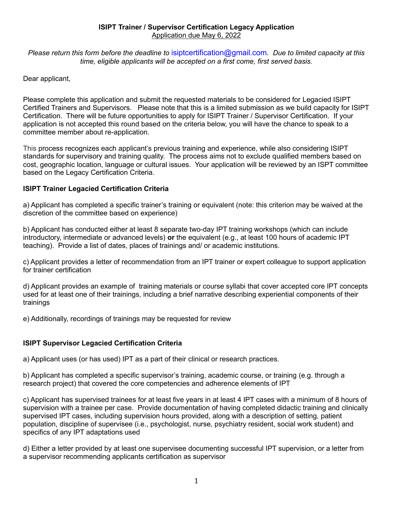## **ISIPT Trainer / Supervisor Certification Legacy Application** Application due May 6, 2022

*Please return this form before the deadline to* [isiptcertification@gmail.com](mailto:isiptcertification@gmail.com)*. Due to limited capacity at this time, eligible applicants will be accepted on a first come, first served basis.* 

Dear applicant,

Please complete this application and submit the requested materials to be considered for Legacied ISIPT Certified Trainers and Supervisors. Please note that this is a limited submission as we build capacity for ISIPT Certification. There will be future opportunities to apply for ISIPT Trainer / Supervisor Certification. If your application is not accepted this round based on the criteria below, you will have the chance to speak to a committee member about re-application.

This process recognizes each applicant's previous training and experience, while also considering ISIPT standards for supervisory and training quality. The process aims not to exclude qualified members based on cost, geographic location, language or cultural issues. Your application will be reviewed by an ISPT committee based on the Legacy Certification Criteria.

## **ISIPT Trainer Legacied Certification Criteria**

a) Applicant has completed a specific trainer's training or equivalent (note: this criterion may be waived at the discretion of the committee based on experience)

b) Applicant has conducted either at least 8 separate two-day IPT training workshops (which can include introductory, intermediate or advanced levels) **or** the equivalent (e.g., at least 100 hours of academic IPT teaching). Provide a list of dates, places of trainings and/ or academic institutions.

c) Applicant provides a letter of recommendation from an IPT trainer or expert colleague to support application for trainer certification

d) Applicant provides an example of training materials or course syllabi that cover accepted core IPT concepts used for at least one of their trainings, including a brief narrative describing experiential components of their trainings

e) Additionally, recordings of trainings may be requested for review

## **ISIPT Supervisor Legacied Certification Criteria**

a) Applicant uses (or has used) IPT as a part of their clinical or research practices.

b) Applicant has completed a specific supervisor's training, academic course, or training (e.g. through a research project) that covered the core competencies and adherence elements of IPT

c) Applicant has supervised trainees for at least five years in at least 4 IPT cases with a minimum of 8 hours of supervision with a trainee per case. Provide documentation of having completed didactic training and clinically supervised IPT cases, including supervision hours provided, along with a description of setting, patient population, discipline of supervisee (i.e., psychologist, nurse, psychiatry resident, social work student) and specifics of any IPT adaptations used

d) Either a letter provided by at least one supervisee documenting successful IPT supervision, or a letter from a supervisor recommending applicants certification as supervisor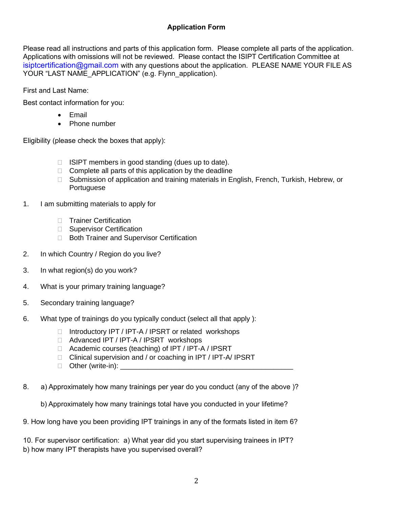## **Application Form**

Please read all instructions and parts of this application form. Please complete all parts of the application. Applications with omissions will not be reviewed. Please contact the ISIPT Certification Committee at [isiptcertification@gmail.com](mailto:isiptcertification@gmail.com) with any questions about the application. PLEASE NAME YOUR FILE AS YOUR "LAST NAME\_APPLICATION" (e.g. Flynn\_application).

First and Last Name:

Best contact information for you:

- Email
- Phone number

Eligibility (please check the boxes that apply):

- $\Box$  ISIPT members in good standing (dues up to date).
- $\Box$  Complete all parts of this application by the deadline
- □ Submission of application and training materials in English, French, Turkish, Hebrew, or Portuguese
- 1. I am submitting materials to apply for
	- □ Trainer Certification
	- □ Supervisor Certification
	- □ Both Trainer and Supervisor Certification
- 2. In which Country / Region do you live?
- 3. In what region(s) do you work?
- 4. What is your primary training language?
- 5. Secondary training language?
- 6. What type of trainings do you typically conduct (select all that apply ):
	- □ Introductory IPT / IPT-A / IPSRT or related workshops
	- □ Advanced IPT / IPT-A / IPSRT workshops
	- □ Academic courses (teaching) of IPT / IPT-A / IPSRT
	- □ Clinical supervision and / or coaching in IPT / IPT-A/ IPSRT
	- $\Box$  Other (write-in):  $\Box$
- 8. a) Approximately how many trainings per year do you conduct (any of the above )?
	- b) Approximately how many trainings total have you conducted in your lifetime?
- 9. How long have you been providing IPT trainings in any of the formats listed in item 6?

10. For supervisor certification: a) What year did you start supervising trainees in IPT? b) how many IPT therapists have you supervised overall?